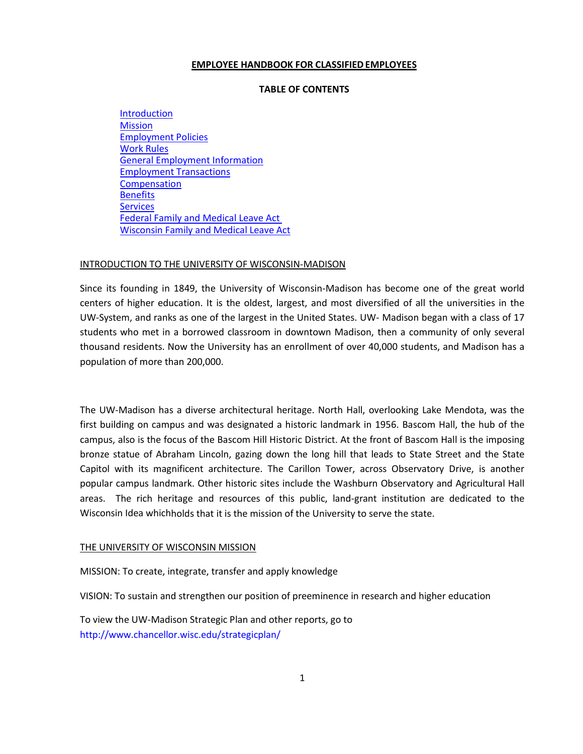#### **EMPLOYEE HANDBOOK FOR CLASSIFIEDEMPLOYEES**

# **TABLE OF CONTENTS**

Introduction **Mission** Employment Policies Work Rules General Employment Information Employment Transactions **Compensation Benefits Services** Federal Family and Medical Leave Act Wisconsin Family and Medical Leave Act

#### INTRODUCTION TO THE UNIVERSITY OF WISCONSIN-MADISON

Since its founding in 1849, the University of Wisconsin-Madison has become one of the great world centers of higher education. It is the oldest, largest, and most diversified of all the universities in the UW-System, and ranks as one of the largest in the United States. UW- Madison began with a class of 17 students who met in a borrowed classroom in downtown Madison, then a community of only several thousand residents. Now the University has an enrollment of over 40,000 students, and Madison has a population of more than 200,000.

The UW-Madison has a diverse architectural heritage. North Hall, overlooking Lake Mendota, was the first building on campus and was designated a historic landmark in 1956. Bascom Hall, the hub of the campus, also is the focus of the Bascom Hill Historic District. At the front of Bascom Hall is the imposing bronze statue of Abraham Lincoln, gazing down the long hill that leads to State Street and the State Capitol with its magnificent architecture. The Carillon Tower, across Observatory Drive, is another popular campus landmark. Other historic sites include the Washburn Observatory and Agricultural Hall areas. The rich heritage and resources of this public, land-grant institution are dedicated to the Wisconsin Idea whichholds that it is the mission of the University to serve the state.

#### THE UNIVERSITY OF WISCONSIN MISSION

MISSION: To create, integrate, transfer and apply knowledge

VISION: To sustain and strengthen our position of preeminence in research and higher education

To view the UW-Madison Strategic Plan and other reports, go to <http://www.chancellor.wisc.edu/strategicplan/>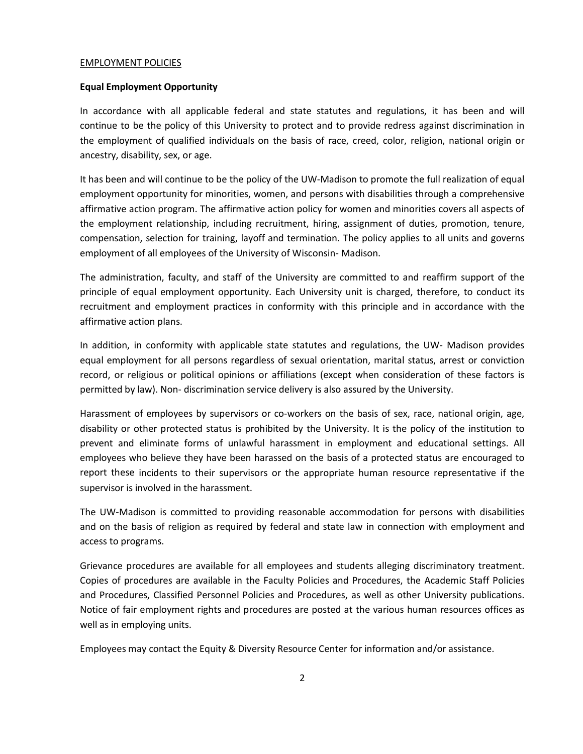#### EMPLOYMENT POLICIES

#### **Equal Employment Opportunity**

In accordance with all applicable federal and state statutes and regulations, it has been and will continue to be the policy of this University to protect and to provide redress against discrimination in the employment of qualified individuals on the basis of race, creed, color, religion, national origin or ancestry, disability, sex, or age.

It has been and will continue to be the policy of the UW-Madison to promote the full realization of equal employment opportunity for minorities, women, and persons with disabilities through a comprehensive affirmative action program. The affirmative action policy for women and minorities covers all aspects of the employment relationship, including recruitment, hiring, assignment of duties, promotion, tenure, compensation, selection for training, layoff and termination. The policy applies to all units and governs employment of all employees of the University of Wisconsin- Madison.

The administration, faculty, and staff of the University are committed to and reaffirm support of the principle of equal employment opportunity. Each University unit is charged, therefore, to conduct its recruitment and employment practices in conformity with this principle and in accordance with the affirmative action plans.

In addition, in conformity with applicable state statutes and regulations, the UW- Madison provides equal employment for all persons regardless of sexual orientation, marital status, arrest or conviction record, or religious or political opinions or affiliations (except when consideration of these factors is permitted by law). Non- discrimination service delivery is also assured by the University.

Harassment of employees by supervisors or co-workers on the basis of sex, race, national origin, age, disability or other protected status is prohibited by the University. It is the policy of the institution to prevent and eliminate forms of unlawful harassment in employment and educational settings. All employees who believe they have been harassed on the basis of a protected status are encouraged to report these incidents to their supervisors or the appropriate human resource representative if the supervisor is involved in the harassment.

The UW-Madison is committed to providing reasonable accommodation for persons with disabilities and on the basis of religion as required by federal and state law in connection with employment and access to programs.

Grievance procedures are available for all employees and students alleging discriminatory treatment. Copies of procedures are available in the Faculty Policies and Procedures, the Academic Staff Policies and Procedures, Classified Personnel Policies and Procedures, as well as other University publications. Notice of fair employment rights and procedures are posted at the various human resources offices as well as in employing units.

Employees may contact the Equity & Diversity Resource Center for information and/or assistance.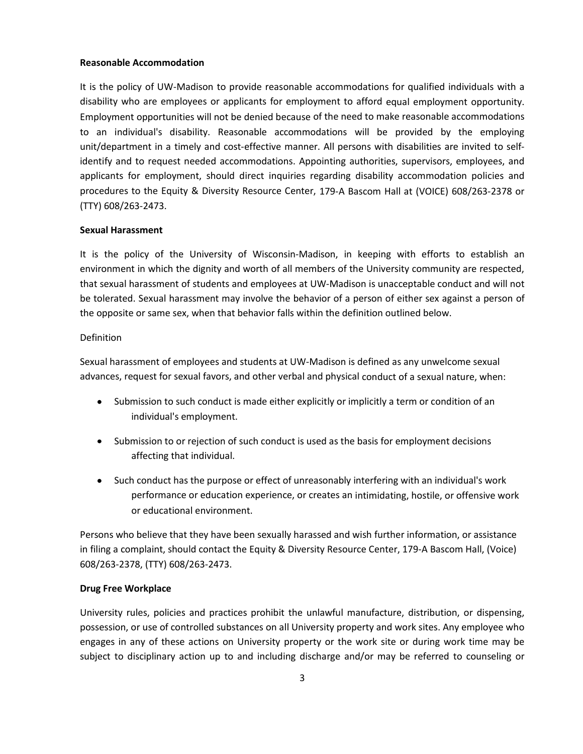#### **Reasonable Accommodation**

It is the policy of UW-Madison to provide reasonable accommodations for qualified individuals with a disability who are employees or applicants for employment to afford equal employment opportunity. Employment opportunities will not be denied because of the need to make reasonable accommodations to an individual's disability. Reasonable accommodations will be provided by the employing unit/department in a timely and cost-effective manner. All persons with disabilities are invited to selfidentify and to request needed accommodations. Appointing authorities, supervisors, employees, and applicants for employment, should direct inquiries regarding disability accommodation policies and procedures to the Equity & Diversity Resource Center, 179-A Bascom Hall at (VOICE) 608/263-2378 or (TTY) 608/263-2473.

#### **Sexual Harassment**

It is the policy of the University of Wisconsin-Madison, in keeping with efforts to establish an environment in which the dignity and worth of all members of the University community are respected, that sexual harassment of students and employees at UW-Madison is unacceptable conduct and will not be tolerated. Sexual harassment may involve the behavior of a person of either sex against a person of the opposite or same sex, when that behavior falls within the definition outlined below.

#### Definition

Sexual harassment of employees and students at UW-Madison is defined as any unwelcome sexual advances, request for sexual favors, and other verbal and physical conduct of a sexual nature, when:

- $\bullet$ Submission to such conduct is made either explicitly or implicitly a term or condition of an individual's employment.
- Submission to or rejection of such conduct is used as the basis for employment decisions  $\bullet$ affecting that individual.
- $\bullet$ Such conduct has the purpose or effect of unreasonably interfering with an individual's work performance or education experience, or creates an intimidating, hostile, or offensive work or educational environment.

Persons who believe that they have been sexually harassed and wish further information, or assistance in filing a complaint, should contact the Equity & Diversity Resource Center, 179-A Bascom Hall, (Voice) 608/263-2378, (TTY) 608/263-2473.

#### **Drug Free Workplace**

University rules, policies and practices prohibit the unlawful manufacture, distribution, or dispensing, possession, or use of controlled substances on all University property and work sites. Any employee who engages in any of these actions on University property or the work site or during work time may be subject to disciplinary action up to and including discharge and/or may be referred to counseling or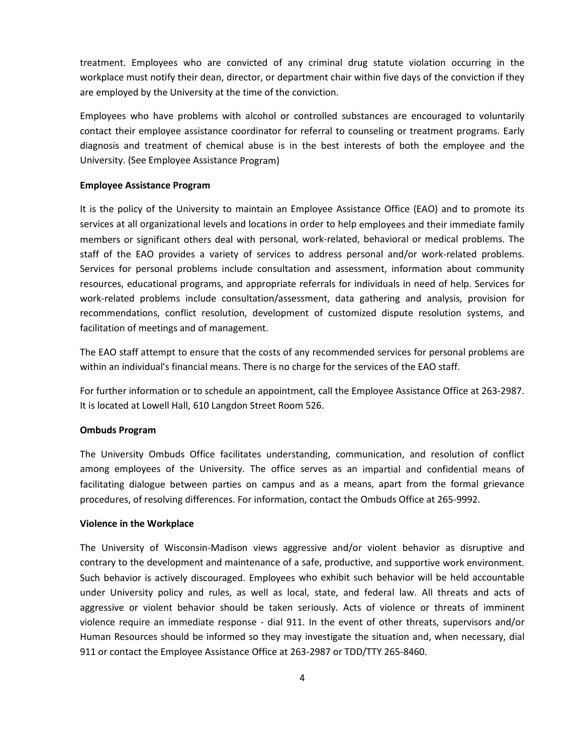treatment. Employees who are convicted of any criminal drug statute violation occurring in the workplace must notify their dean, director, or department chair within five days of the conviction if they are employed by the University at the time of the conviction.

Employees who have problems with alcohol or controlled substances are encouraged to voluntarily contact their employee assistance coordinator for referral to counseling or treatment programs. Early diagnosis and treatment of chemical abuse is in the best interests of both the employee and the University. (See Employee Assistance Program)

#### **Employee Assistance Program**

It is the policy of the University to maintain an Employee Assistance Office (EAO) and to promote its services at all organizational levels and locations in order to help employees and their immediate family members or significant others deal with personal, work-related, behavioral or medical problems. The staff of the EAO provides a variety of services to address personal and/or work-related problems. Services for personal problems include consultation and assessment, information about community resources, educational programs, and appropriate referrals for individuals in need of help. Services for work-related problems include consultation/assessment, data gathering and analysis, provision for recommendations, conflict resolution, development of customized dispute resolution systems, and facilitation of meetings and of management.

The EAO staff attempt to ensure that the costs of any recommended services for personal problems are within an individual's financial means. There is no charge for the services of the EAO staff.

For further information or to schedule an appointment, call the Employee Assistance Office at 263-2987. It is located at Lowell Hall, 610 Langdon Street Room 526.

#### **Ombuds Program**

The University Ombuds Office facilitates understanding, communication, and resolution of conflict among employees of the University. The office serves as an impartial and confidential means of facilitating dialogue between parties on campus and as a means, apart from the formal grievance procedures, of resolving differences. For information, contact the Ombuds Office at 265-9992.

#### **Violence in the Workplace**

The University of Wisconsin-Madison views aggressive and/or violent behavior as disruptive and contrary to the development and maintenance of a safe, productive, and supportive work environment. Such behavior is actively discouraged. Employees who exhibit such behavior will be held accountable under University policy and rules, as well as local, state, and federal law. All threats and acts of aggressive or violent behavior should be taken seriously. Acts of violence or threats of imminent violence require an immediate response - dial 911. In the event of other threats, supervisors and/or Human Resources should be informed so they may investigate the situation and, when necessary, dial 911 or contact the Employee Assistance Office at 263-2987 or TDD/TTY 265-8460.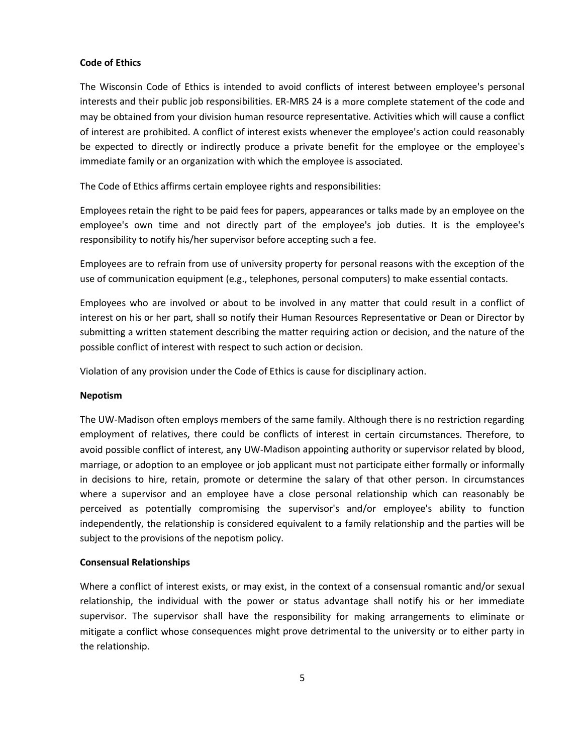#### **Code of Ethics**

The Wisconsin Code of Ethics is intended to avoid conflicts of interest between employee's personal interests and their public job responsibilities. ER-MRS 24 is a more complete statement of the code and may be obtained from your division human resource representative. Activities which will cause a conflict of interest are prohibited. A conflict of interest exists whenever the employee's action could reasonably be expected to directly or indirectly produce a private benefit for the employee or the employee's immediate family or an organization with which the employee is associated.

The Code of Ethics affirms certain employee rights and responsibilities:

Employees retain the right to be paid fees for papers, appearances or talks made by an employee on the employee's own time and not directly part of the employee's job duties. It is the employee's responsibility to notify his/her supervisor before accepting such a fee.

Employees are to refrain from use of university property for personal reasons with the exception of the use of communication equipment (e.g., telephones, personal computers) to make essential contacts.

Employees who are involved or about to be involved in any matter that could result in a conflict of interest on his or her part, shall so notify their Human Resources Representative or Dean or Director by submitting a written statement describing the matter requiring action or decision, and the nature of the possible conflict of interest with respect to such action or decision.

Violation of any provision under the Code of Ethics is cause for disciplinary action.

#### **Nepotism**

The UW-Madison often employs members of the same family. Although there is no restriction regarding employment of relatives, there could be conflicts of interest in certain circumstances. Therefore, to avoid possible conflict of interest, any UW-Madison appointing authority or supervisor related by blood, marriage, or adoption to an employee or job applicant must not participate either formally or informally in decisions to hire, retain, promote or determine the salary of that other person. In circumstances where a supervisor and an employee have a close personal relationship which can reasonably be perceived as potentially compromising the supervisor's and/or employee's ability to function independently, the relationship is considered equivalent to a family relationship and the parties will be subject to the provisions of the nepotism policy.

#### **Consensual Relationships**

Where a conflict of interest exists, or may exist, in the context of a consensual romantic and/or sexual relationship, the individual with the power or status advantage shall notify his or her immediate supervisor. The supervisor shall have the responsibility for making arrangements to eliminate or mitigate a conflict whose consequences might prove detrimental to the university or to either party in the relationship.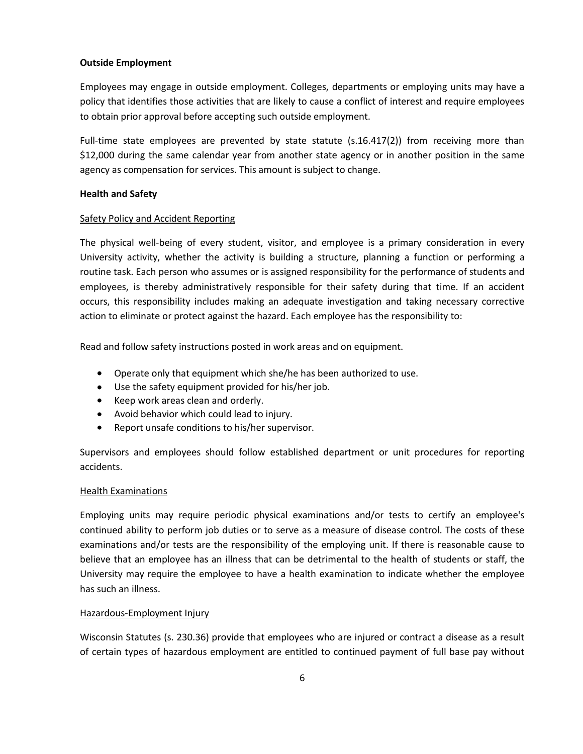# **Outside Employment**

Employees may engage in outside employment. Colleges, departments or employing units may have a policy that identifies those activities that are likely to cause a conflict of interest and require employees to obtain prior approval before accepting such outside employment.

Full-time state employees are prevented by state statute (s.16.417(2)) from receiving more than \$12,000 during the same calendar year from another state agency or in another position in the same agency as compensation for services. This amount is subject to change.

# **Health and Safety**

# Safety Policy and Accident Reporting

The physical well-being of every student, visitor, and employee is a primary consideration in every University activity, whether the activity is building a structure, planning a function or performing a routine task. Each person who assumes or is assigned responsibility for the performance of students and employees, is thereby administratively responsible for their safety during that time. If an accident occurs, this responsibility includes making an adequate investigation and taking necessary corrective action to eliminate or protect against the hazard. Each employee has the responsibility to:

Read and follow safety instructions posted in work areas and on equipment.

- Operate only that equipment which she/he has been authorized to use.  $\bullet$
- Use the safety equipment provided for his/her job.
- Keep work areas clean and orderly.
- Avoid behavior which could lead to injury.
- Report unsafe conditions to his/her supervisor.  $\bullet$

Supervisors and employees should follow established department or unit procedures for reporting accidents.

# Health Examinations

Employing units may require periodic physical examinations and/or tests to certify an employee's continued ability to perform job duties or to serve as a measure of disease control. The costs of these examinations and/or tests are the responsibility of the employing unit. If there is reasonable cause to believe that an employee has an illness that can be detrimental to the health of students or staff, the University may require the employee to have a health examination to indicate whether the employee has such an illness.

#### Hazardous-Employment Injury

Wisconsin Statutes (s. 230.36) provide that employees who are injured or contract a disease as a result of certain types of hazardous employment are entitled to continued payment of full base pay without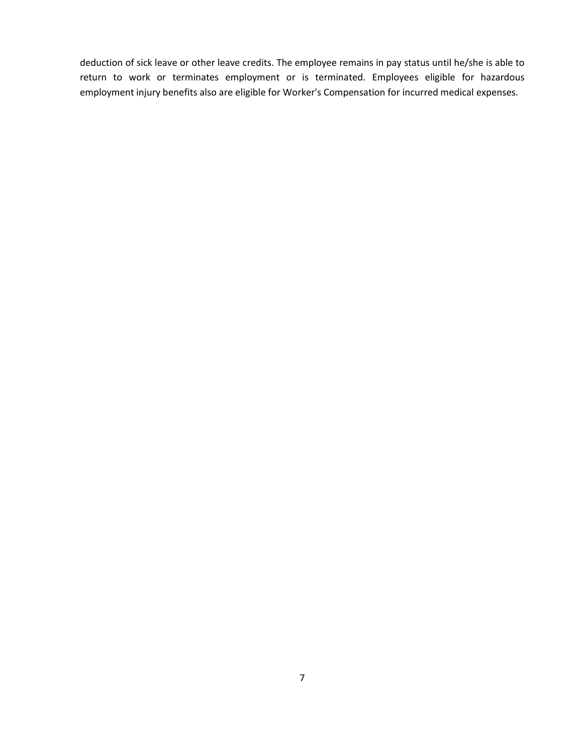deduction of sick leave or other leave credits. The employee remains in pay status until he/she is able to return to work or terminates employment or is terminated. Employees eligible for hazardous employment injury benefits also are eligible for Worker's Compensation for incurred medical expenses.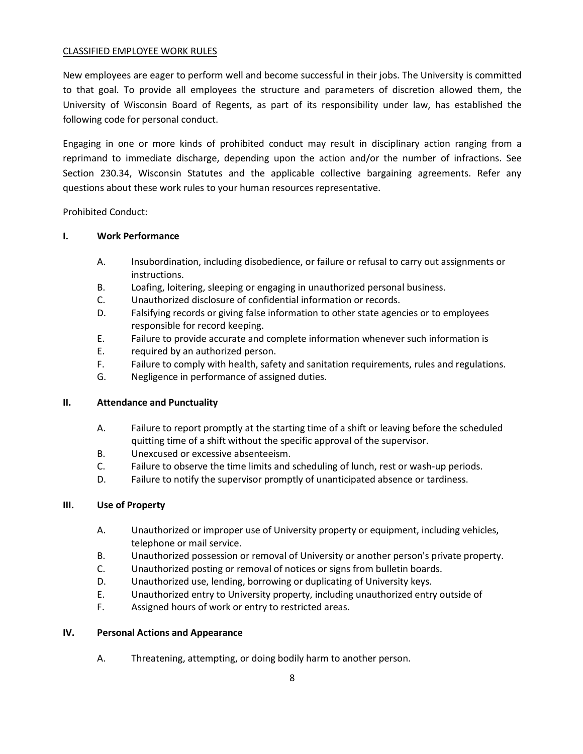# CLASSIFIED EMPLOYEE WORK RULES

New employees are eager to perform well and become successful in their jobs. The University is committed to that goal. To provide all employees the structure and parameters of discretion allowed them, the University of Wisconsin Board of Regents, as part of its responsibility under law, has established the following code for personal conduct.

Engaging in one or more kinds of prohibited conduct may result in disciplinary action ranging from a reprimand to immediate discharge, depending upon the action and/or the number of infractions. See Section 230.34, Wisconsin Statutes and the applicable collective bargaining agreements. Refer any questions about these work rules to your human resources representative.

Prohibited Conduct:

# **I. Work Performance**

- A. Insubordination, including disobedience, or failure or refusal to carry out assignments or instructions.
- B. Loafing, loitering, sleeping or engaging in unauthorized personal business.
- C. Unauthorized disclosure of confidential information or records.
- D. Falsifying records or giving false information to other state agencies or to employees responsible for record keeping.
- E. Failure to provide accurate and complete information whenever such information is
- E. required by an authorized person.
- F. Failure to comply with health, safety and sanitation requirements, rules and regulations.
- G. Negligence in performance of assigned duties.

# **II. Attendance and Punctuality**

- A. Failure to report promptly at the starting time of a shift or leaving before the scheduled quitting time of a shift without the specific approval of the supervisor.
- B. Unexcused or excessive absenteeism.
- C. Failure to observe the time limits and scheduling of lunch, rest or wash-up periods.
- D. Failure to notify the supervisor promptly of unanticipated absence or tardiness.

# **III. Use of Property**

- A. Unauthorized or improper use of University property or equipment, including vehicles, telephone or mail service.
- B. Unauthorized possession or removal of University or another person's private property.
- C. Unauthorized posting or removal of notices or signs from bulletin boards.
- D. Unauthorized use, lending, borrowing or duplicating of University keys.
- E. Unauthorized entry to University property, including unauthorized entry outside of
- F. Assigned hours of work or entry to restricted areas.

# **IV. Personal Actions and Appearance**

A. Threatening, attempting, or doing bodily harm to another person.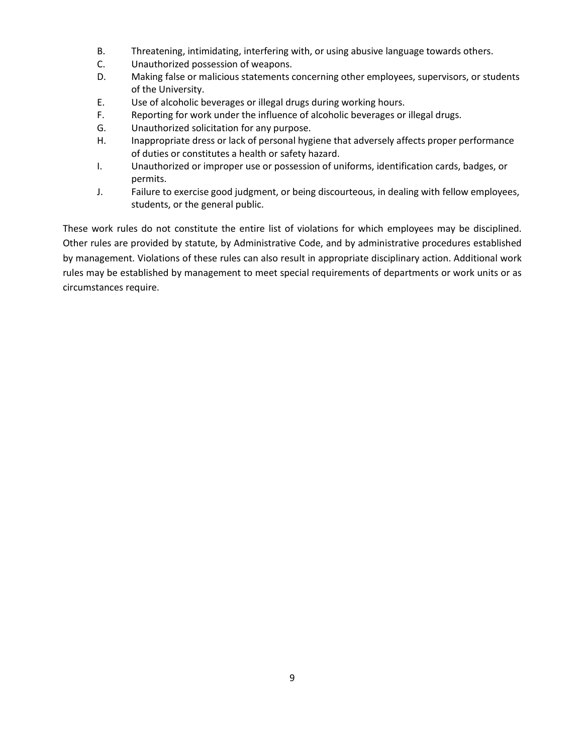- B. Threatening, intimidating, interfering with, or using abusive language towards others.
- C. Unauthorized possession of weapons.
- D. Making false or malicious statements concerning other employees, supervisors, or students of the University.
- E. Use of alcoholic beverages or illegal drugs during working hours.
- F. Reporting for work under the influence of alcoholic beverages or illegal drugs.
- G. Unauthorized solicitation for any purpose.
- H. Inappropriate dress or lack of personal hygiene that adversely affects proper performance of duties or constitutes a health or safety hazard.
- I. Unauthorized or improper use or possession of uniforms, identification cards, badges, or permits.
- J. Failure to exercise good judgment, or being discourteous, in dealing with fellow employees, students, or the general public.

These work rules do not constitute the entire list of violations for which employees may be disciplined. Other rules are provided by statute, by Administrative Code, and by administrative procedures established by management. Violations of these rules can also result in appropriate disciplinary action. Additional work rules may be established by management to meet special requirements of departments or work units or as circumstances require.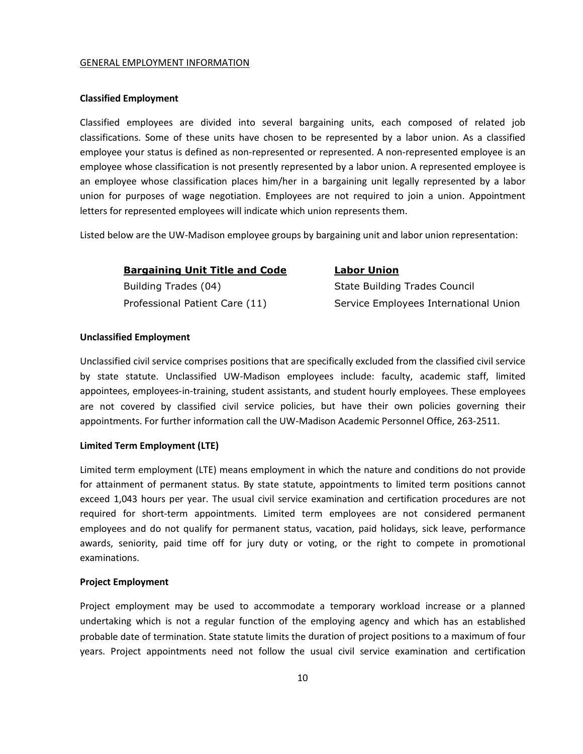#### GENERAL EMPLOYMENT INFORMATION

#### **Classified Employment**

Classified employees are divided into several bargaining units, each composed of related job classifications. Some of these units have chosen to be represented by a labor union. As a classified employee your status is defined as non-represented or represented. A non-represented employee is an employee whose classification is not presently represented by a labor union. A represented employee is an employee whose classification places him/her in a bargaining unit legally represented by a labor union for purposes of wage negotiation. Employees are not required to join a union. Appointment letters for represented employees will indicate which union represents them.

Listed below are the UW-Madison employee groups by bargaining unit and labor union representation:

#### **Bargaining Unit Title and Code Labor Union**

Building Trades (04) **State Building Trades Council** State Building Trades Council

Professional Patient Care (11) Service Employees International Union

# **Unclassified Employment**

Unclassified civil service comprises positions that are specifically excluded from the classified civil service by state statute. Unclassified UW-Madison employees include: faculty, academic staff, limited appointees, employees-in-training, student assistants, and student hourly employees. These employees are not covered by classified civil service policies, but have their own policies governing their appointments. For further information call the UW-Madison Academic Personnel Office, 263-2511.

# **Limited Term Employment (LTE)**

Limited term employment (LTE) means employment in which the nature and conditions do not provide for attainment of permanent status. By state statute, appointments to limited term positions cannot exceed 1,043 hours per year. The usual civil service examination and certification procedures are not required for short-term appointments. Limited term employees are not considered permanent employees and do not qualify for permanent status, vacation, paid holidays, sick leave, performance awards, seniority, paid time off for jury duty or voting, or the right to compete in promotional examinations.

#### **Project Employment**

Project employment may be used to accommodate a temporary workload increase or a planned undertaking which is not a regular function of the employing agency and which has an established probable date of termination. State statute limits the duration of project positions to a maximum of four years. Project appointments need not follow the usual civil service examination and certification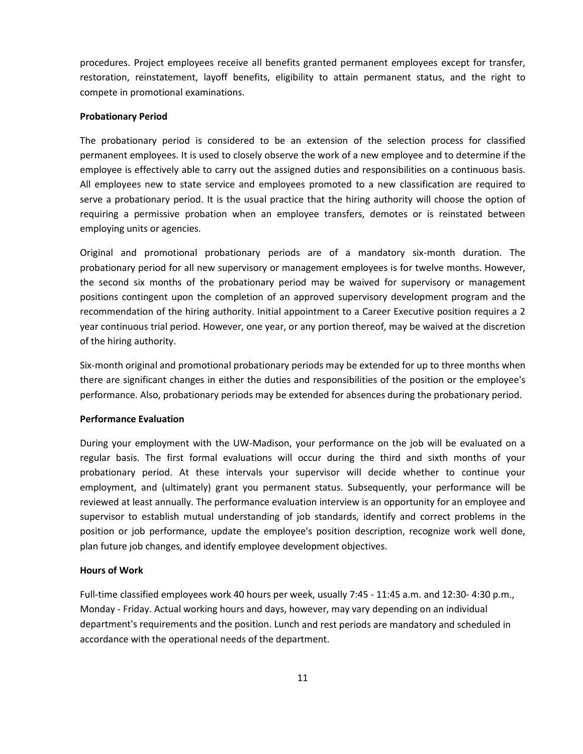procedures. Project employees receive all benefits granted permanent employees except for transfer, restoration, reinstatement, layoff benefits, eligibility to attain permanent status, and the right to compete in promotional examinations.

#### **Probationary Period**

The probationary period is considered to be an extension of the selection process for classified permanent employees. It is used to closely observe the work of a new employee and to determine if the employee is effectively able to carry out the assigned duties and responsibilities on a continuous basis. All employees new to state service and employees promoted to a new classification are required to serve a probationary period. It is the usual practice that the hiring authority will choose the option of requiring a permissive probation when an employee transfers, demotes or is reinstated between employing units or agencies.

Original and promotional probationary periods are of a mandatory six-month duration. The probationary period for all new supervisory or management employees is for twelve months. However, the second six months of the probationary period may be waived for supervisory or management positions contingent upon the completion of an approved supervisory development program and the recommendation of the hiring authority. Initial appointment to a Career Executive position requires a 2 year continuous trial period. However, one year, or any portion thereof, may be waived at the discretion of the hiring authority.

Six-month original and promotional probationary periods may be extended for up to three months when there are significant changes in either the duties and responsibilities of the position or the employee's performance. Also, probationary periods may be extended for absences during the probationary period.

#### **Performance Evaluation**

During your employment with the UW-Madison, your performance on the job will be evaluated on a regular basis. The first formal evaluations will occur during the third and sixth months of your probationary period. At these intervals your supervisor will decide whether to continue your employment, and (ultimately) grant you permanent status. Subsequently, your performance will be reviewed at least annually. The performance evaluation interview is an opportunity for an employee and supervisor to establish mutual understanding of job standards, identify and correct problems in the position or job performance, update the employee's position description, recognize work well done, plan future job changes, and identify employee development objectives.

#### **Hours of Work**

Full-time classified employees work 40 hours per week, usually 7:45 - 11:45 a.m. and 12:30- 4:30 p.m., Monday - Friday. Actual working hours and days, however, may vary depending on an individual department's requirements and the position. Lunch and rest periods are mandatory and scheduled in accordance with the operational needs of the department.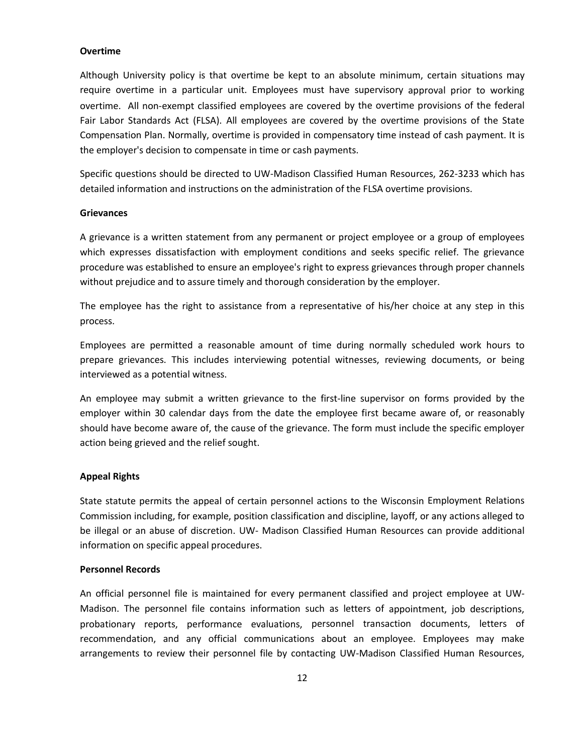#### **Overtime**

Although University policy is that overtime be kept to an absolute minimum, certain situations may require overtime in a particular unit. Employees must have supervisory approval prior to working overtime. All non-exempt classified employees are covered by the overtime provisions of the federal Fair Labor Standards Act (FLSA). All employees are covered by the overtime provisions of the State Compensation Plan. Normally, overtime is provided in compensatory time instead of cash payment. It is the employer's decision to compensate in time or cash payments.

Specific questions should be directed to UW-Madison Classified Human Resources, 262-3233 which has detailed information and instructions on the administration of the FLSA overtime provisions.

#### **Grievances**

A grievance is a written statement from any permanent or project employee or a group of employees which expresses dissatisfaction with employment conditions and seeks specific relief. The grievance procedure was established to ensure an employee's right to express grievances through proper channels without prejudice and to assure timely and thorough consideration by the employer.

The employee has the right to assistance from a representative of his/her choice at any step in this process.

Employees are permitted a reasonable amount of time during normally scheduled work hours to prepare grievances. This includes interviewing potential witnesses, reviewing documents, or being interviewed as a potential witness.

An employee may submit a written grievance to the first-line supervisor on forms provided by the employer within 30 calendar days from the date the employee first became aware of, or reasonably should have become aware of, the cause of the grievance. The form must include the specific employer action being grieved and the relief sought.

#### **Appeal Rights**

State statute permits the appeal of certain personnel actions to the Wisconsin Employment Relations Commission including, for example, position classification and discipline, layoff, or any actions alleged to be illegal or an abuse of discretion. UW- Madison Classified Human Resources can provide additional information on specific appeal procedures.

#### **Personnel Records**

An official personnel file is maintained for every permanent classified and project employee at UW-Madison. The personnel file contains information such as letters of appointment, job descriptions, probationary reports, performance evaluations, personnel transaction documents, letters of recommendation, and any official communications about an employee. Employees may make arrangements to review their personnel file by contacting UW-Madison Classified Human Resources,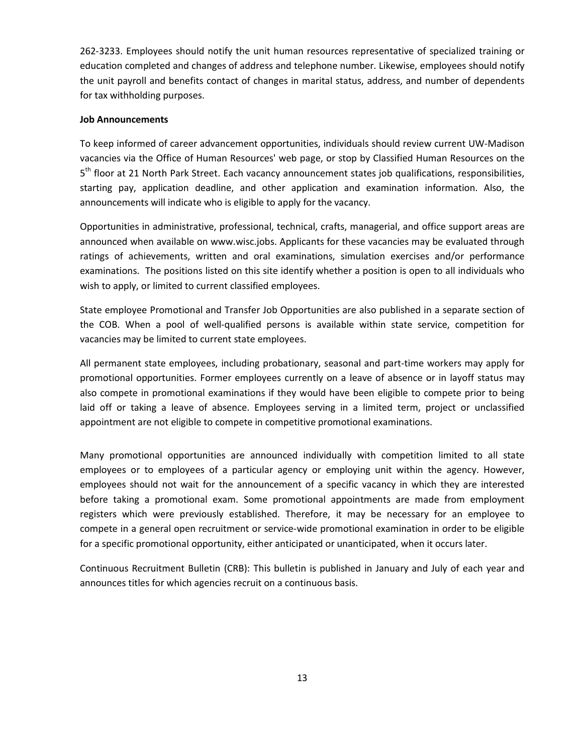262-3233. Employees should notify the unit human resources representative of specialized training or education completed and changes of address and telephone number. Likewise, employees should notify the unit payroll and benefits contact of changes in marital status, address, and number of dependents for tax withholding purposes.

#### **Job Announcements**

To keep informed of career advancement opportunities, individuals should review current UW-Madison vacancies via the Office of Human Resources' web page, or stop by Classified Human Resources on the 5<sup>th</sup> floor at 21 North Park Street. Each vacancy announcement states job qualifications, responsibilities, starting pay, application deadline, and other application and examination information. Also, the announcements will indicate who is eligible to apply for the vacancy.

Opportunities in administrative, professional, technical, crafts, managerial, and office support areas are announced when available on www.wisc.jobs. Applicants for these vacancies may be evaluated through ratings of achievements, written and oral examinations, simulation exercises and/or performance examinations. The positions listed on this site identify whether a position is open to all individuals who wish to apply, or limited to current classified employees.

State employee Promotional and Transfer Job Opportunities are also published in a separate section of the COB. When a pool of well-qualified persons is available within state service, competition for vacancies may be limited to current state employees.

All permanent state employees, including probationary, seasonal and part-time workers may apply for promotional opportunities. Former employees currently on a leave of absence or in layoff status may also compete in promotional examinations if they would have been eligible to compete prior to being laid off or taking a leave of absence. Employees serving in a limited term, project or unclassified appointment are not eligible to compete in competitive promotional examinations.

Many promotional opportunities are announced individually with competition limited to all state employees or to employees of a particular agency or employing unit within the agency. However, employees should not wait for the announcement of a specific vacancy in which they are interested before taking a promotional exam. Some promotional appointments are made from employment registers which were previously established. Therefore, it may be necessary for an employee to compete in a general open recruitment or service-wide promotional examination in order to be eligible for a specific promotional opportunity, either anticipated or unanticipated, when it occurs later.

Continuous Recruitment Bulletin (CRB): This bulletin is published in January and July of each year and announces titles for which agencies recruit on a continuous basis.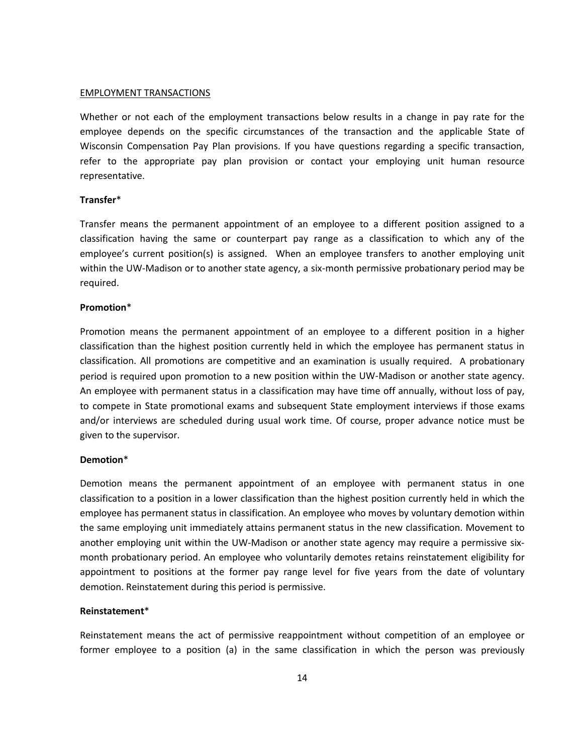#### EMPLOYMENT TRANSACTIONS

Whether or not each of the employment transactions below results in a change in pay rate for the employee depends on the specific circumstances of the transaction and the applicable State of Wisconsin Compensation Pay Plan provisions. If you have questions regarding a specific transaction, refer to the appropriate pay plan provision or contact your employing unit human resource representative.

#### **Transfer**\*

Transfer means the permanent appointment of an employee to a different position assigned to a classification having the same or counterpart pay range as a classification to which any of the employee's current position(s) is assigned. When an employee transfers to another employing unit within the UW-Madison or to another state agency, a six-month permissive probationary period may be required.

#### **Promotion**\*

Promotion means the permanent appointment of an employee to a different position in a higher classification than the highest position currently held in which the employee has permanent status in classification. All promotions are competitive and an examination is usually required. A probationary period is required upon promotion to a new position within the UW-Madison or another state agency. An employee with permanent status in a classification may have time off annually, without loss of pay, to compete in State promotional exams and subsequent State employment interviews if those exams and/or interviews are scheduled during usual work time. Of course, proper advance notice must be given to the supervisor.

#### **Demotion**\*

Demotion means the permanent appointment of an employee with permanent status in one classification to a position in a lower classification than the highest position currently held in which the employee has permanent status in classification. An employee who moves by voluntary demotion within the same employing unit immediately attains permanent status in the new classification. Movement to another employing unit within the UW-Madison or another state agency may require a permissive sixmonth probationary period. An employee who voluntarily demotes retains reinstatement eligibility for appointment to positions at the former pay range level for five years from the date of voluntary demotion. Reinstatement during this period is permissive.

#### **Reinstatement**\*

Reinstatement means the act of permissive reappointment without competition of an employee or former employee to a position (a) in the same classification in which the person was previously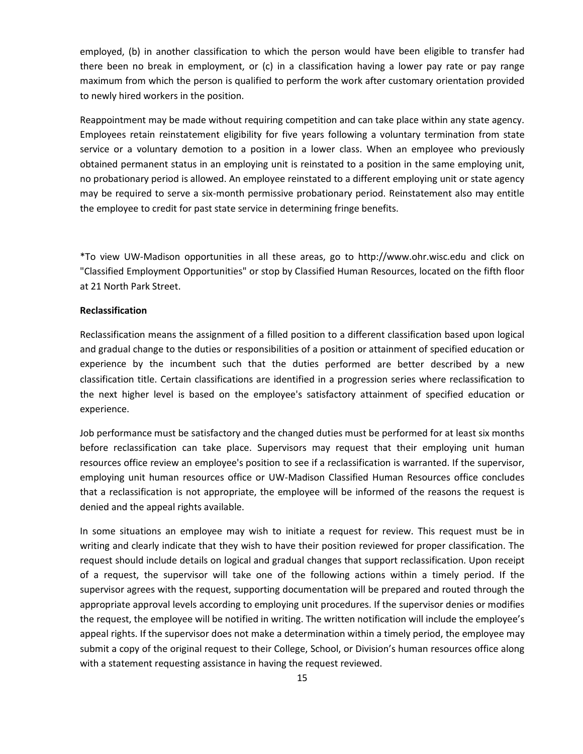employed, (b) in another classification to which the person would have been eligible to transfer had there been no break in employment, or (c) in a classification having a lower pay rate or pay range maximum from which the person is qualified to perform the work after customary orientation provided to newly hired workers in the position.

Reappointment may be made without requiring competition and can take place within any state agency. Employees retain reinstatement eligibility for five years following a voluntary termination from state service or a voluntary demotion to a position in a lower class. When an employee who previously obtained permanent status in an employing unit is reinstated to a position in the same employing unit, no probationary period is allowed. An employee reinstated to a different employing unit or state agency may be required to serve a six-month permissive probationary period. Reinstatement also may entitle the employee to credit for past state service in determining fringe benefits.

\*To view UW-Madison opportunities in all these areas, go [to http://www.ohr.wisc.edu](http://www.ohr.wisc.edu/) and click on "Classified Employment Opportunities" or stop by Classified Human Resources, located on the fifth floor at 21 North Park Street.

#### **Reclassification**

Reclassification means the assignment of a filled position to a different classification based upon logical and gradual change to the duties or responsibilities of a position or attainment of specified education or experience by the incumbent such that the duties performed are better described by a new classification title. Certain classifications are identified in a progression series where reclassification to the next higher level is based on the employee's satisfactory attainment of specified education or experience.

Job performance must be satisfactory and the changed duties must be performed for at least six months before reclassification can take place. Supervisors may request that their employing unit human resources office review an employee's position to see if a reclassification is warranted. If the supervisor, employing unit human resources office or UW-Madison Classified Human Resources office concludes that a reclassification is not appropriate, the employee will be informed of the reasons the request is denied and the appeal rights available.

In some situations an employee may wish to initiate a request for review. This request must be in writing and clearly indicate that they wish to have their position reviewed for proper classification. The request should include details on logical and gradual changes that support reclassification. Upon receipt of a request, the supervisor will take one of the following actions within a timely period. If the supervisor agrees with the request, supporting documentation will be prepared and routed through the appropriate approval levels according to employing unit procedures. If the supervisor denies or modifies the request, the employee will be notified in writing. The written notification will include the employee's appeal rights. If the supervisor does not make a determination within a timely period, the employee may submit a copy of the original request to their College, School, or Division's human resources office along with a statement requesting assistance in having the request reviewed.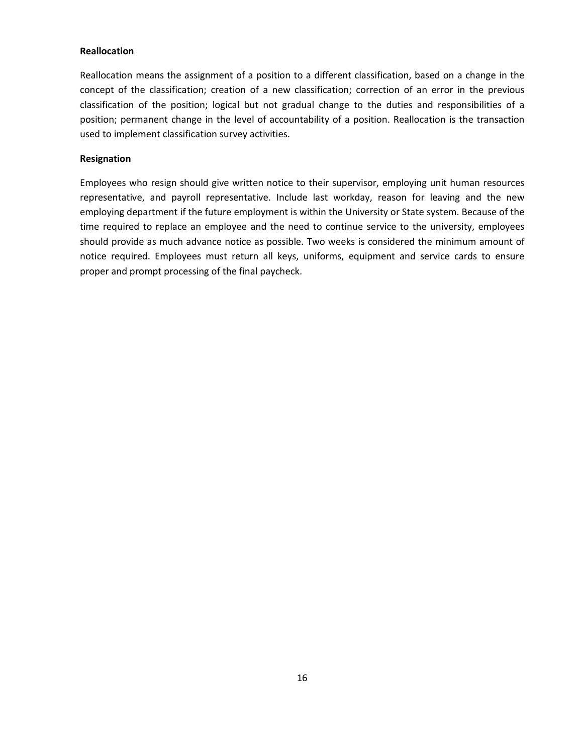#### **Reallocation**

Reallocation means the assignment of a position to a different classification, based on a change in the concept of the classification; creation of a new classification; correction of an error in the previous classification of the position; logical but not gradual change to the duties and responsibilities of a position; permanent change in the level of accountability of a position. Reallocation is the transaction used to implement classification survey activities.

#### **Resignation**

Employees who resign should give written notice to their supervisor, employing unit human resources representative, and payroll representative. Include last workday, reason for leaving and the new employing department if the future employment is within the University or State system. Because of the time required to replace an employee and the need to continue service to the university, employees should provide as much advance notice as possible. Two weeks is considered the minimum amount of notice required. Employees must return all keys, uniforms, equipment and service cards to ensure proper and prompt processing of the final paycheck.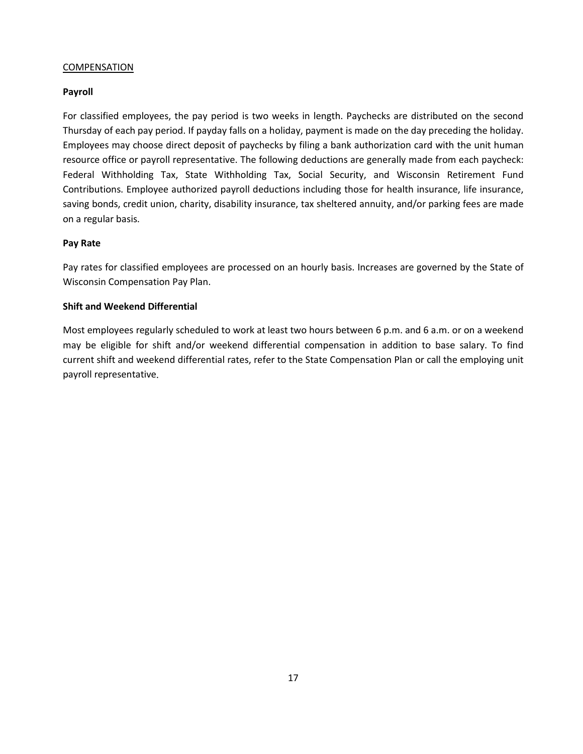# COMPENSATION

# **Payroll**

For classified employees, the pay period is two weeks in length. Paychecks are distributed on the second Thursday of each pay period. If payday falls on a holiday, payment is made on the day preceding the holiday. Employees may choose direct deposit of paychecks by filing a bank authorization card with the unit human resource office or payroll representative. The following deductions are generally made from each paycheck: Federal Withholding Tax, State Withholding Tax, Social Security, and Wisconsin Retirement Fund Contributions. Employee authorized payroll deductions including those for health insurance, life insurance, saving bonds, credit union, charity, disability insurance, tax sheltered annuity, and/or parking fees are made on a regular basis.

# **Pay Rate**

Pay rates for classified employees are processed on an hourly basis. Increases are governed by the State of Wisconsin Compensation Pay Plan.

#### **Shift and Weekend Differential**

Most employees regularly scheduled to work at least two hours between 6 p.m. and 6 a.m. or on a weekend may be eligible for shift and/or weekend differential compensation in addition to base salary. To find current shift and weekend differential rates, refer to the State Compensation Plan or call the employing unit payroll representative.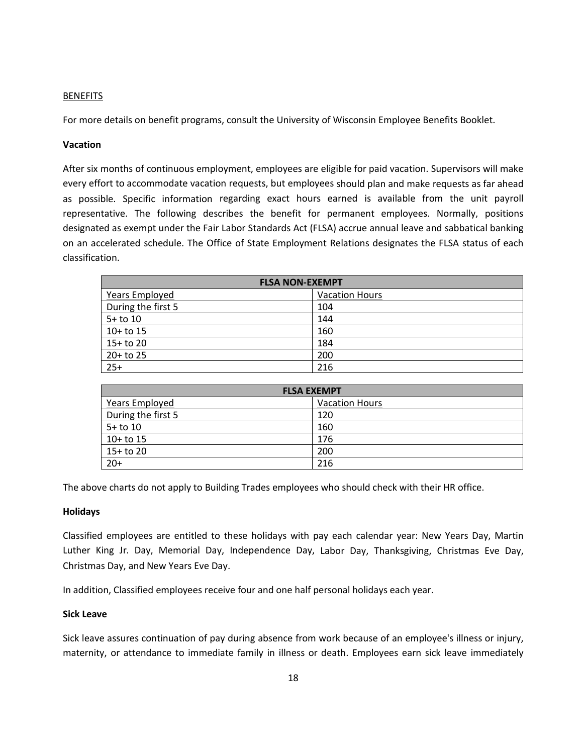# BENEFITS

For more details on benefit programs, consult the University of Wisconsin Employee Benefits Booklet.

# **Vacation**

After six months of continuous employment, employees are eligible for paid vacation. Supervisors will make every effort to accommodate vacation requests, but employees should plan and make requests as far ahead as possible. Specific information regarding exact hours earned is available from the unit payroll representative. The following describes the benefit for permanent employees. Normally, positions designated as exempt under the Fair Labor Standards Act (FLSA) accrue annual leave and sabbatical banking on an accelerated schedule. The Office of State Employment Relations designates the FLSA status of each classification.

| <b>FLSA NON-EXEMPT</b> |                       |  |
|------------------------|-----------------------|--|
| <b>Years Employed</b>  | <b>Vacation Hours</b> |  |
| During the first 5     | 104                   |  |
| $5+$ to 10             | 144                   |  |
| $10+$ to 15            | 160                   |  |
| $15+$ to 20            | 184                   |  |
| $20+$ to 25            | 200                   |  |
| $25+$                  | 216                   |  |

| <b>FLSA EXEMPT</b> |                       |  |
|--------------------|-----------------------|--|
| Years Employed     | <b>Vacation Hours</b> |  |
| During the first 5 | 120                   |  |
| $5+$ to 10         | 160                   |  |
| $10+$ to 15        | 176                   |  |
| $15+$ to 20        | 200                   |  |
| $20+$              | 216                   |  |

The above charts do not apply to Building Trades employees who should check with their HR office.

#### **Holidays**

Classified employees are entitled to these holidays with pay each calendar year: New Years Day, Martin Luther King Jr. Day, Memorial Day, Independence Day, Labor Day, Thanksgiving, Christmas Eve Day, Christmas Day, and New Years Eve Day.

In addition, Classified employees receive four and one half personal holidays each year.

#### **Sick Leave**

Sick leave assures continuation of pay during absence from work because of an employee's illness or injury, maternity, or attendance to immediate family in illness or death. Employees earn sick leave immediately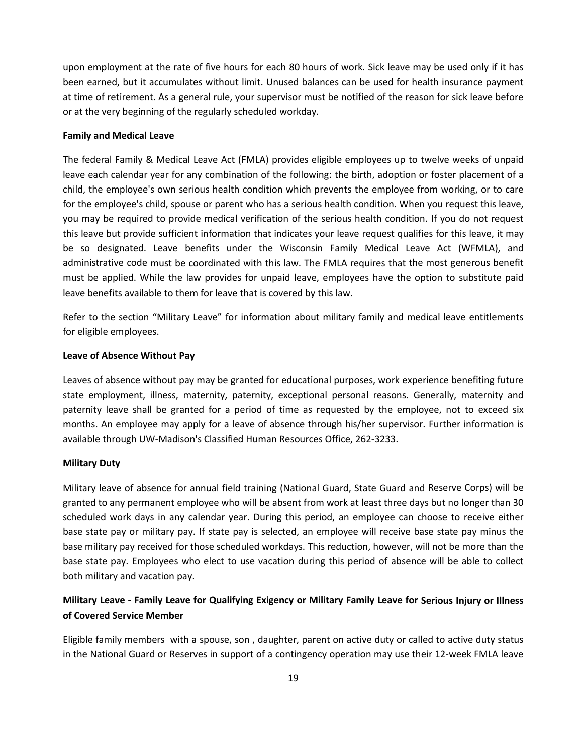upon employment at the rate of five hours for each 80 hours of work. Sick leave may be used only if it has been earned, but it accumulates without limit. Unused balances can be used for health insurance payment at time of retirement. As a general rule, your supervisor must be notified of the reason for sick leave before or at the very beginning of the regularly scheduled workday.

# **Family and Medical Leave**

The federal Family & Medical Leave Act (FMLA) provides eligible employees up to twelve weeks of unpaid leave each calendar year for any combination of the following: the birth, adoption or foster placement of a child, the employee's own serious health condition which prevents the employee from working, or to care for the employee's child, spouse or parent who has a serious health condition. When you request this leave, you may be required to provide medical verification of the serious health condition. If you do not request this leave but provide sufficient information that indicates your leave request qualifies for this leave, it may be so designated. Leave benefits under the Wisconsin Family Medical Leave Act (WFMLA), and administrative code must be coordinated with this law. The FMLA requires that the most generous benefit must be applied. While the law provides for unpaid leave, employees have the option to substitute paid leave benefits available to them for leave that is covered by this law.

Refer to the section "Military Leave" for information about military family and medical leave entitlements for eligible employees.

#### **Leave of Absence Without Pay**

Leaves of absence without pay may be granted for educational purposes, work experience benefiting future state employment, illness, maternity, paternity, exceptional personal reasons. Generally, maternity and paternity leave shall be granted for a period of time as requested by the employee, not to exceed six months. An employee may apply for a leave of absence through his/her supervisor. Further information is available through UW-Madison's Classified Human Resources Office, 262-3233.

#### **Military Duty**

Military leave of absence for annual field training (National Guard, State Guard and Reserve Corps) will be granted to any permanent employee who will be absent from work at least three days but no longer than 30 scheduled work days in any calendar year. During this period, an employee can choose to receive either base state pay or military pay. If state pay is selected, an employee will receive base state pay minus the base military pay received for those scheduled workdays. This reduction, however, will not be more than the base state pay. Employees who elect to use vacation during this period of absence will be able to collect both military and vacation pay.

# **Military Leave - Family Leave for Qualifying Exigency or Military Family Leave for Serious Injury or Illness of Covered Service Member**

Eligible family members with a spouse, son , daughter, parent on active duty or called to active duty status in the National Guard or Reserves in support of a contingency operation may use their 12-week FMLA leave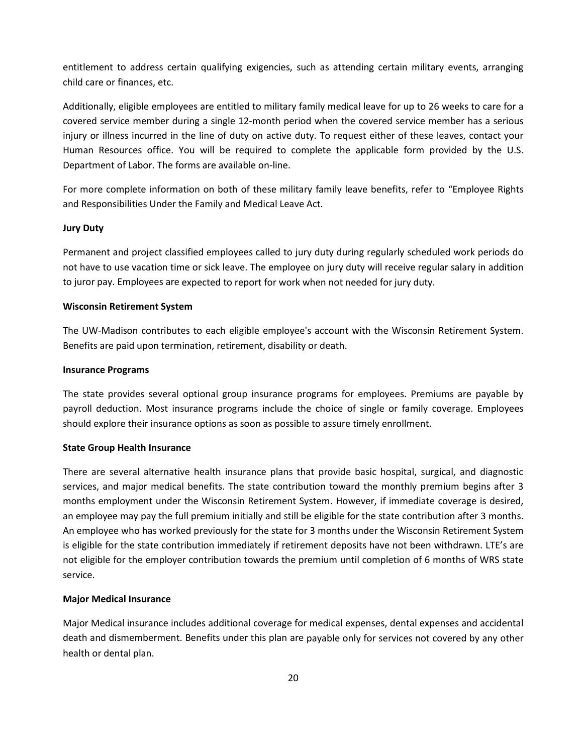entitlement to address certain qualifying exigencies, such as attending certain military events, arranging child care or finances, etc.

Additionally, eligible employees are entitled to military family medical leave for up to 26 weeks to care for a covered service member during a single 12-month period when the covered service member has a serious injury or illness incurred in the line of duty on active duty. To request either of these leaves, contact your Human Resources office. You will be required to complete the applicable form provided by the U.S. Department of Labor. The forms are available on-line.

For more complete information on both of these military family leave benefits, refer to "Employee Rights and Responsibilities Under the Family and Medical Leave Act.

# **Jury Duty**

Permanent and project classified employees called to jury duty during regularly scheduled work periods do not have to use vacation time or sick leave. The employee on jury duty will receive regular salary in addition to juror pay. Employees are expected to report for work when not needed for jury duty.

# **Wisconsin Retirement System**

The UW-Madison contributes to each eligible employee's account with the Wisconsin Retirement System. Benefits are paid upon termination, retirement, disability or death.

#### **Insurance Programs**

The state provides several optional group insurance programs for employees. Premiums are payable by payroll deduction. Most insurance programs include the choice of single or family coverage. Employees should explore their insurance options as soon as possible to assure timely enrollment.

#### **State Group Health Insurance**

There are several alternative health insurance plans that provide basic hospital, surgical, and diagnostic services, and major medical benefits. The state contribution toward the monthly premium begins after 3 months employment under the Wisconsin Retirement System. However, if immediate coverage is desired, an employee may pay the full premium initially and still be eligible for the state contribution after 3 months. An employee who has worked previously for the state for 3 months under the Wisconsin Retirement System is eligible for the state contribution immediately if retirement deposits have not been withdrawn. LTE's are not eligible for the employer contribution towards the premium until completion of 6 months of WRS state service.

#### **Major Medical Insurance**

Major Medical insurance includes additional coverage for medical expenses, dental expenses and accidental death and dismemberment. Benefits under this plan are payable only for services not covered by any other health or dental plan.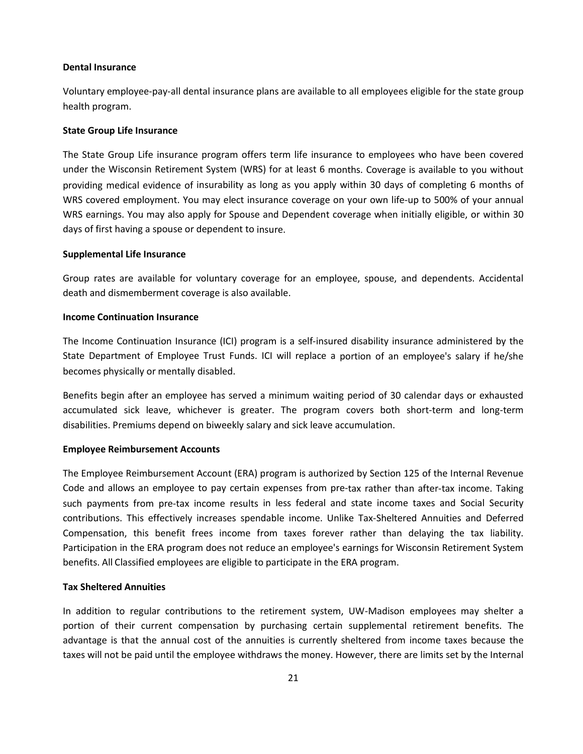#### **Dental Insurance**

Voluntary employee-pay-all dental insurance plans are available to all employees eligible for the state group health program.

#### **State Group Life Insurance**

The State Group Life insurance program offers term life insurance to employees who have been covered under the Wisconsin Retirement System (WRS) for at least 6 months. Coverage is available to you without providing medical evidence of insurability as long as you apply within 30 days of completing 6 months of WRS covered employment. You may elect insurance coverage on your own life-up to 500% of your annual WRS earnings. You may also apply for Spouse and Dependent coverage when initially eligible, or within 30 days of first having a spouse or dependent to insure.

#### **Supplemental Life Insurance**

Group rates are available for voluntary coverage for an employee, spouse, and dependents. Accidental death and dismemberment coverage is also available.

#### **Income Continuation Insurance**

The Income Continuation Insurance (ICI) program is a self-insured disability insurance administered by the State Department of Employee Trust Funds. ICI will replace a portion of an employee's salary if he/she becomes physically or mentally disabled.

Benefits begin after an employee has served a minimum waiting period of 30 calendar days or exhausted accumulated sick leave, whichever is greater. The program covers both short-term and long-term disabilities. Premiums depend on biweekly salary and sick leave accumulation.

#### **Employee Reimbursement Accounts**

The Employee Reimbursement Account (ERA) program is authorized by Section 125 of the Internal Revenue Code and allows an employee to pay certain expenses from pre-tax rather than after-tax income. Taking such payments from pre-tax income results in less federal and state income taxes and Social Security contributions. This effectively increases spendable income. Unlike Tax-Sheltered Annuities and Deferred Compensation, this benefit frees income from taxes forever rather than delaying the tax liability. Participation in the ERA program does not reduce an employee's earnings for Wisconsin Retirement System benefits. All Classified employees are eligible to participate in the ERA program.

# **Tax Sheltered Annuities**

In addition to regular contributions to the retirement system, UW-Madison employees may shelter a portion of their current compensation by purchasing certain supplemental retirement benefits. The advantage is that the annual cost of the annuities is currently sheltered from income taxes because the taxes will not be paid until the employee withdraws the money. However, there are limits set by the Internal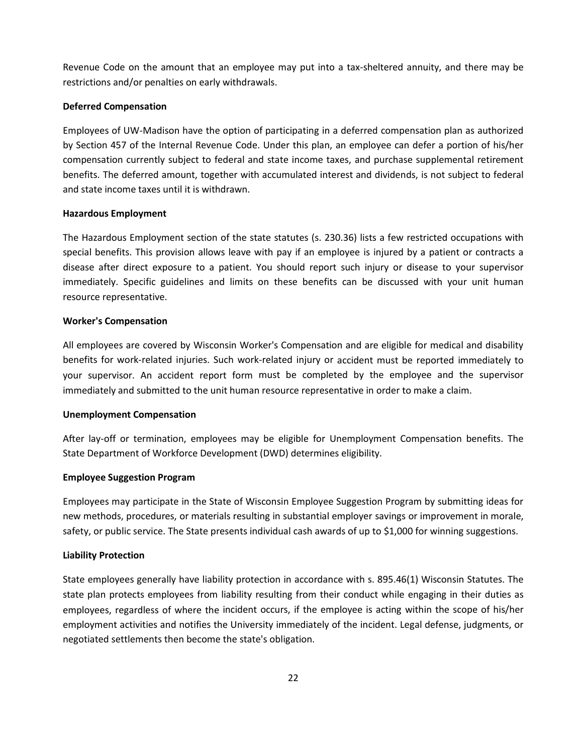Revenue Code on the amount that an employee may put into a tax-sheltered annuity, and there may be restrictions and/or penalties on early withdrawals.

# **Deferred Compensation**

Employees of UW-Madison have the option of participating in a deferred compensation plan as authorized by Section 457 of the Internal Revenue Code. Under this plan, an employee can defer a portion of his/her compensation currently subject to federal and state income taxes, and purchase supplemental retirement benefits. The deferred amount, together with accumulated interest and dividends, is not subject to federal and state income taxes until it is withdrawn.

# **Hazardous Employment**

The Hazardous Employment section of the state statutes (s. 230.36) lists a few restricted occupations with special benefits. This provision allows leave with pay if an employee is injured by a patient or contracts a disease after direct exposure to a patient. You should report such injury or disease to your supervisor immediately. Specific guidelines and limits on these benefits can be discussed with your unit human resource representative.

# **Worker's Compensation**

All employees are covered by Wisconsin Worker's Compensation and are eligible for medical and disability benefits for work-related injuries. Such work-related injury or accident must be reported immediately to your supervisor. An accident report form must be completed by the employee and the supervisor immediately and submitted to the unit human resource representative in order to make a claim.

#### **Unemployment Compensation**

After lay-off or termination, employees may be eligible for Unemployment Compensation benefits. The State Department of Workforce Development (DWD) determines eligibility.

# **Employee Suggestion Program**

Employees may participate in the State of Wisconsin Employee Suggestion Program by submitting ideas for new methods, procedures, or materials resulting in substantial employer savings or improvement in morale, safety, or public service. The State presents individual cash awards of up to \$1,000 for winning suggestions.

# **Liability Protection**

State employees generally have liability protection in accordance with s. 895.46(1) Wisconsin Statutes. The state plan protects employees from liability resulting from their conduct while engaging in their duties as employees, regardless of where the incident occurs, if the employee is acting within the scope of his/her employment activities and notifies the University immediately of the incident. Legal defense, judgments, or negotiated settlements then become the state's obligation.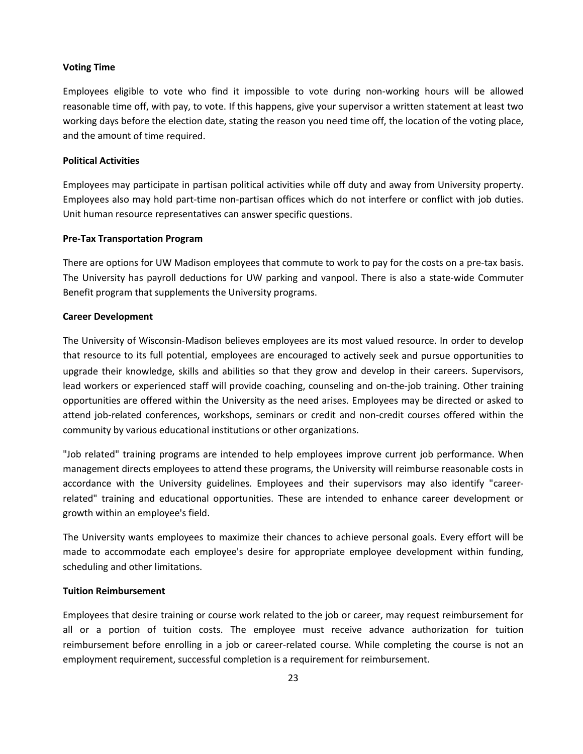#### **Voting Time**

Employees eligible to vote who find it impossible to vote during non-working hours will be allowed reasonable time off, with pay, to vote. If this happens, give your supervisor a written statement at least two working days before the election date, stating the reason you need time off, the location of the voting place, and the amount of time required.

#### **Political Activities**

Employees may participate in partisan political activities while off duty and away from University property. Employees also may hold part-time non-partisan offices which do not interfere or conflict with job duties. Unit human resource representatives can answer specific questions.

#### **Pre-Tax Transportation Program**

There are options for UW Madison employees that commute to work to pay for the costs on a pre-tax basis. The University has payroll deductions for UW parking and vanpool. There is also a state-wide Commuter Benefit program that supplements the University programs.

#### **Career Development**

The University of Wisconsin-Madison believes employees are its most valued resource. In order to develop that resource to its full potential, employees are encouraged to actively seek and pursue opportunities to upgrade their knowledge, skills and abilities so that they grow and develop in their careers. Supervisors, lead workers or experienced staff will provide coaching, counseling and on-the-job training. Other training opportunities are offered within the University as the need arises. Employees may be directed or asked to attend job-related conferences, workshops, seminars or credit and non-credit courses offered within the community by various educational institutions or other organizations.

"Job related" training programs are intended to help employees improve current job performance. When management directs employees to attend these programs, the University will reimburse reasonable costs in accordance with the University guidelines. Employees and their supervisors may also identify "careerrelated" training and educational opportunities. These are intended to enhance career development or growth within an employee's field.

The University wants employees to maximize their chances to achieve personal goals. Every effort will be made to accommodate each employee's desire for appropriate employee development within funding, scheduling and other limitations.

#### **Tuition Reimbursement**

Employees that desire training or course work related to the job or career, may request reimbursement for all or a portion of tuition costs. The employee must receive advance authorization for tuition reimbursement before enrolling in a job or career-related course. While completing the course is not an employment requirement, successful completion is a requirement for reimbursement.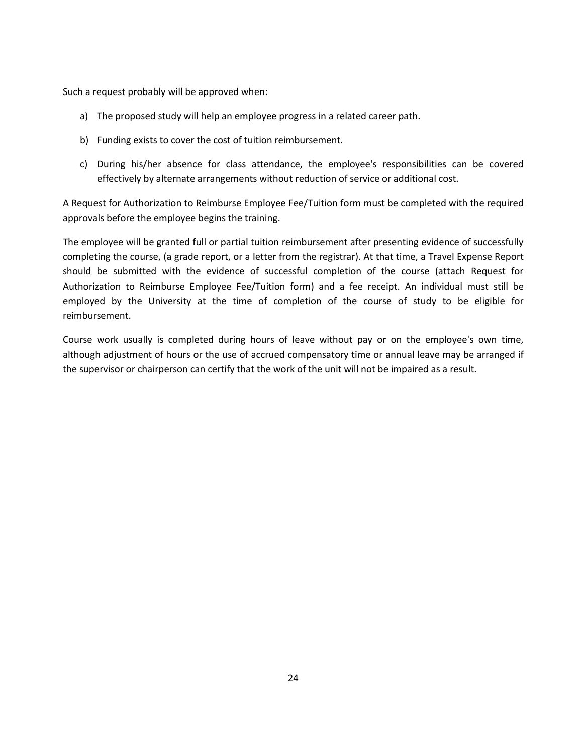Such a request probably will be approved when:

- a) The proposed study will help an employee progress in a related career path.
- b) Funding exists to cover the cost of tuition reimbursement.
- c) During his/her absence for class attendance, the employee's responsibilities can be covered effectively by alternate arrangements without reduction of service or additional cost.

A Request for Authorization to Reimburse Employee Fee/Tuition form must be completed with the required approvals before the employee begins the training.

The employee will be granted full or partial tuition reimbursement after presenting evidence of successfully completing the course, (a grade report, or a letter from the registrar). At that time, a Travel Expense Report should be submitted with the evidence of successful completion of the course (attach Request for Authorization to Reimburse Employee Fee/Tuition form) and a fee receipt. An individual must still be employed by the University at the time of completion of the course of study to be eligible for reimbursement.

Course work usually is completed during hours of leave without pay or on the employee's own time, although adjustment of hours or the use of accrued compensatory time or annual leave may be arranged if the supervisor or chairperson can certify that the work of the unit will not be impaired as a result.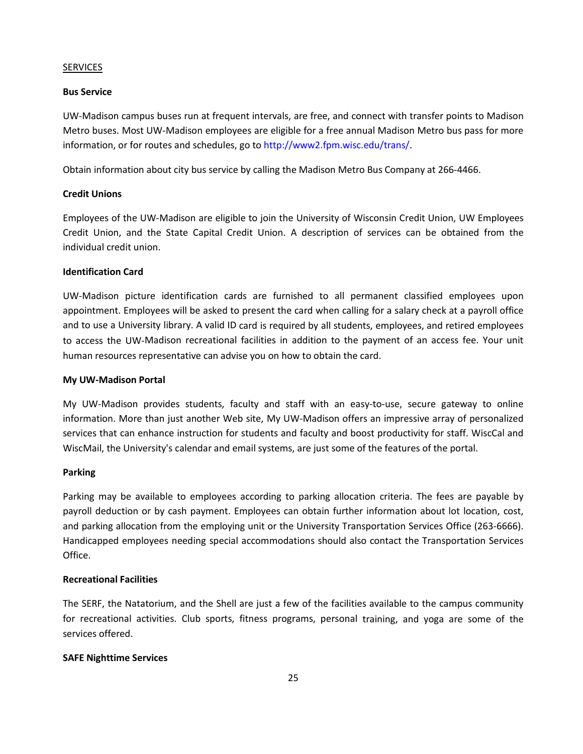# SERVICES

# **Bus Service**

UW-Madison campus buses run at frequent intervals, are free, and connect with transfer points to Madison Metro buses. Most UW-Madison employees are eligible for a free annual Madison Metro bus pass for more information, or for routes and schedules, go to [http://www2.fpm.wisc.edu/trans/.](http://www2.fpm.wisc.edu/trans/)

Obtain information about city bus service by calling the Madison Metro Bus Company at 266-4466.

# **Credit Unions**

Employees of the UW-Madison are eligible to join the University of Wisconsin Credit Union, UW Employees Credit Union, and the State Capital Credit Union. A description of services can be obtained from the individual credit union.

# **Identification Card**

UW-Madison picture identification cards are furnished to all permanent classified employees upon appointment. Employees will be asked to present the card when calling for a salary check at a payroll office and to use a University library. A valid ID card is required by all students, employees, and retired employees to access the UW-Madison recreational facilities in addition to the payment of an access fee. Your unit human resources representative can advise you on how to obtain the card.

# **My UW-Madison Portal**

My UW-Madison provides students, faculty and staff with an easy-to-use, secure gateway to online information. More than just another Web site, My UW-Madison offers an impressive array of personalized services that can enhance instruction for students and faculty and boost productivity for staff. WiscCal and WiscMail, the University's calendar and email systems, are just some of the features of the portal.

#### **Parking**

Parking may be available to employees according to parking allocation criteria. The fees are payable by payroll deduction or by cash payment. Employees can obtain further information about lot location, cost, and parking allocation from the employing unit or the University Transportation Services Office (263-6666). Handicapped employees needing special accommodations should also contact the Transportation Services Office.

# **Recreational Facilities**

The SERF, the Natatorium, and the Shell are just a few of the facilities available to the campus community for recreational activities. Club sports, fitness programs, personal training, and yoga are some of the services offered.

# **SAFE Nighttime Services**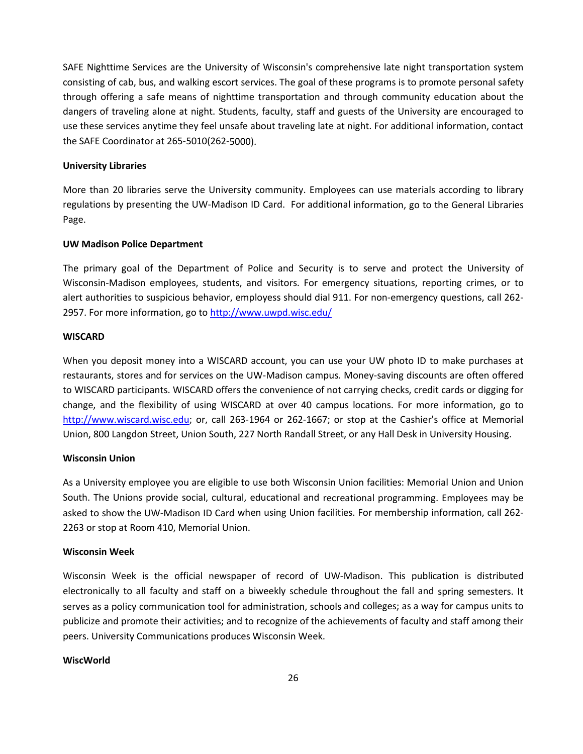SAFE Nighttime Services are the University of Wisconsin's comprehensive late night transportation system consisting of cab, bus, and walking escort services. The goal of these programs is to promote personal safety through offering a safe means of nighttime transportation and through community education about the dangers of traveling alone at night. Students, faculty, staff and guests of the University are encouraged to use these services anytime they feel unsafe about traveling late at night. For additional information, contact the SAFE Coordinator at 265-5010(262-5000).

#### **University Libraries**

More than 20 libraries serve the University community. Employees can use materials according to library regulations by presenting the UW-Madison ID Card. For additional information, go to the General Libraries Page.

# **UW Madison Police Department**

The primary goal of the Department of Police and Security is to serve and protect the University of Wisconsin-Madison employees, students, and visitors. For emergency situations, reporting crimes, or to alert authorities to suspicious behavior, employess should dial 911. For non-emergency questions, call 262- 2957. For more information, go to<http://www.uwpd.wisc.edu/>

# **WISCARD**

When you deposit money into a WISCARD account, you can use your UW photo ID to make purchases at restaurants, stores and for services on the UW-Madison campus. Money-saving discounts are often offered to WISCARD participants. WISCARD offers the convenience of not carrying checks, credit cards or digging for change, and the flexibility of using WISCARD at over 40 campus locations. For more information, go to [http://www.wiscard.wisc.edu;](http://www.wiscard.wisc.edu/) or, call 263-1964 or 262-1667; or stop at the Cashier's office at Memorial Union, 800 Langdon Street, Union South, 227 North Randall Street, or any Hall Desk in University Housing.

# **Wisconsin Union**

As a University employee you are eligible to use both Wisconsin Union facilities: Memorial Union and Union South. The Unions provide social, cultural, educational and recreational programming. Employees may be asked to show the UW-Madison ID Card when using Union facilities. For membership information, call 262- 2263 or stop at Room 410, Memorial Union.

#### **Wisconsin Week**

Wisconsin Week is the official newspaper of record of UW-Madison. This publication is distributed electronically to all faculty and staff on a biweekly schedule throughout the fall and spring semesters. It serves as a policy communication tool for administration, schools and colleges; as a way for campus units to publicize and promote their activities; and to recognize of the achievements of faculty and staff among their peers. University Communications produces Wisconsin Week.

#### **WiscWorld**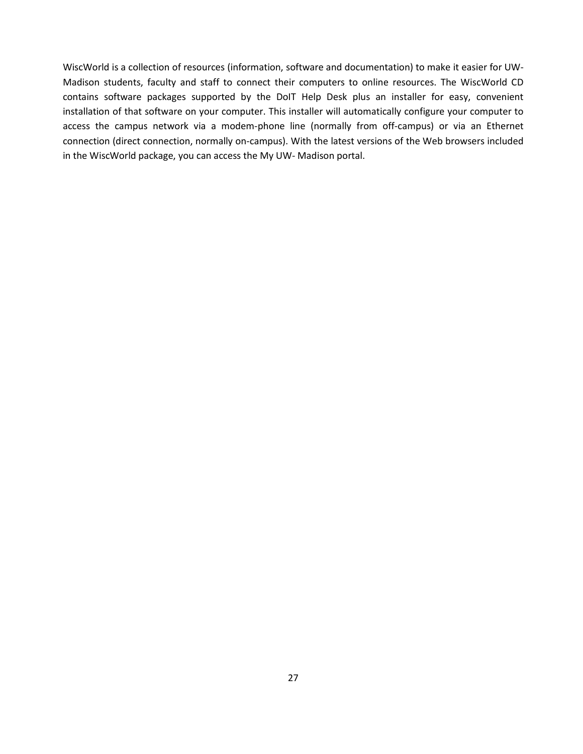WiscWorld is a collection of resources (information, software and documentation) to make it easier for UW-Madison students, faculty and staff to connect their computers to online resources. The WiscWorld CD contains software packages supported by the DoIT Help Desk plus an installer for easy, convenient installation of that software on your computer. This installer will automatically configure your computer to access the campus network via a modem-phone line (normally from off-campus) or via an Ethernet connection (direct connection, normally on-campus). With the latest versions of the Web browsers included in the WiscWorld package, you can access the My UW- Madison portal.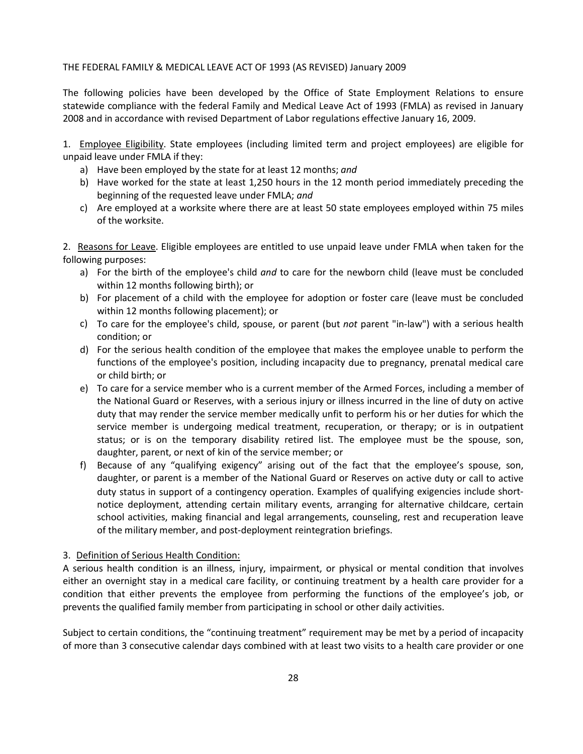# THE FEDERAL FAMILY & MEDICAL LEAVE ACT OF 1993 (AS REVISED) January 2009

The following policies have been developed by the Office of State Employment Relations to ensure statewide compliance with the federal Family and Medical Leave Act of 1993 (FMLA) as revised in January 2008 and in accordance with revised Department of Labor regulations effective January 16, 2009.

1. Employee Eligibility. State employees (including limited term and project employees) are eligible for unpaid leave under FMLA if they:

- a) Have been employed by the state for at least 12 months; *and*
- b) Have worked for the state at least 1,250 hours in the 12 month period immediately preceding the beginning of the requested leave under FMLA; *and*
- c) Are employed at a worksite where there are at least 50 state employees employed within 75 miles of the worksite.

2. Reasons for Leave. Eligible employees are entitled to use unpaid leave under FMLA when taken for the following purposes:

- a) For the birth of the employee's child *and* to care for the newborn child (leave must be concluded within 12 months following birth); or
- b) For placement of a child with the employee for adoption or foster care (leave must be concluded within 12 months following placement); or
- c) To care for the employee's child, spouse, or parent (but *not* parent "in-law") with a serious health condition; or
- d) For the serious health condition of the employee that makes the employee unable to perform the functions of the employee's position, including incapacity due to pregnancy, prenatal medical care or child birth; or
- e) To care for a service member who is a current member of the Armed Forces, including a member of the National Guard or Reserves, with a serious injury or illness incurred in the line of duty on active duty that may render the service member medically unfit to perform his or her duties for which the service member is undergoing medical treatment, recuperation, or therapy; or is in outpatient status; or is on the temporary disability retired list. The employee must be the spouse, son, daughter, parent, or next of kin of the service member; or
- f) Because of any "qualifying exigency" arising out of the fact that the employee's spouse, son, daughter, or parent is a member of the National Guard or Reserves on active duty or call to active duty status in support of a contingency operation. Examples of qualifying exigencies include shortnotice deployment, attending certain military events, arranging for alternative childcare, certain school activities, making financial and legal arrangements, counseling, rest and recuperation leave of the military member, and post-deployment reintegration briefings.

# 3. Definition of Serious Health Condition:

A serious health condition is an illness, injury, impairment, or physical or mental condition that involves either an overnight stay in a medical care facility, or continuing treatment by a health care provider for a condition that either prevents the employee from performing the functions of the employee's job, or prevents the qualified family member from participating in school or other daily activities.

Subject to certain conditions, the "continuing treatment" requirement may be met by a period of incapacity of more than 3 consecutive calendar days combined with at least two visits to a health care provider or one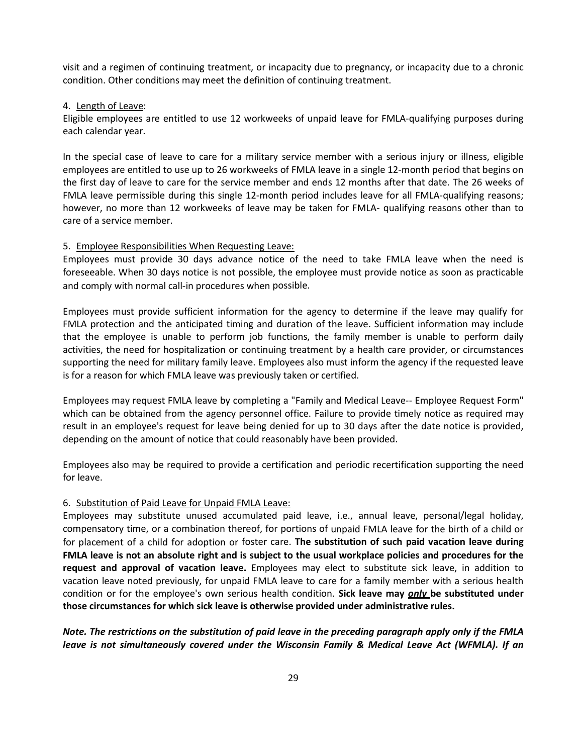visit and a regimen of continuing treatment, or incapacity due to pregnancy, or incapacity due to a chronic condition. Other conditions may meet the definition of continuing treatment.

# 4. Length of Leave:

Eligible employees are entitled to use 12 workweeks of unpaid leave for FMLA-qualifying purposes during each calendar year.

In the special case of leave to care for a military service member with a serious injury or illness, eligible employees are entitled to use up to 26 workweeks of FMLA leave in a single 12-month period that begins on the first day of leave to care for the service member and ends 12 months after that date. The 26 weeks of FMLA leave permissible during this single 12-month period includes leave for all FMLA-qualifying reasons; however, no more than 12 workweeks of leave may be taken for FMLA- qualifying reasons other than to care of a service member.

# 5. Employee Responsibilities When Requesting Leave:

Employees must provide 30 days advance notice of the need to take FMLA leave when the need is foreseeable. When 30 days notice is not possible, the employee must provide notice as soon as practicable and comply with normal call-in procedures when possible.

Employees must provide sufficient information for the agency to determine if the leave may qualify for FMLA protection and the anticipated timing and duration of the leave. Sufficient information may include that the employee is unable to perform job functions, the family member is unable to perform daily activities, the need for hospitalization or continuing treatment by a health care provider, or circumstances supporting the need for military family leave. Employees also must inform the agency if the requested leave is for a reason for which FMLA leave was previously taken or certified.

Employees may request FMLA leave by completing a "Family and Medical Leave-- Employee Request Form" which can be obtained from the agency personnel office. Failure to provide timely notice as required may result in an employee's request for leave being denied for up to 30 days after the date notice is provided, depending on the amount of notice that could reasonably have been provided.

Employees also may be required to provide a certification and periodic recertification supporting the need for leave.

# 6. Substitution of Paid Leave for Unpaid FMLA Leave:

Employees may substitute unused accumulated paid leave, i.e., annual leave, personal/legal holiday, compensatory time, or a combination thereof, for portions of unpaid FMLA leave for the birth of a child or for placement of a child for adoption or foster care. **The substitution of such paid vacation leave during FMLA leave is not an absolute right and is subject to the usual workplace policies and procedures for the request and approval of vacation leave.** Employees may elect to substitute sick leave, in addition to vacation leave noted previously, for unpaid FMLA leave to care for a family member with a serious health condition or for the employee's own serious health condition. **Sick leave may** *only* **be substituted under those circumstances for which sick leave is otherwise provided under administrative rules.**

*Note. The restrictions on the substitution of paid leave in the preceding paragraph apply only if the FMLA leave is not simultaneously covered under the Wisconsin Family & Medical Leave Act (WFMLA). If an*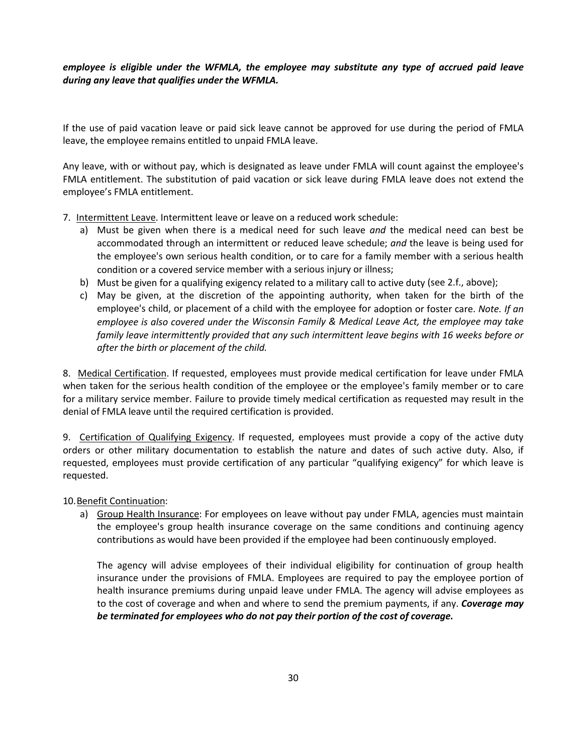# *employee is eligible under the WFMLA, the employee may substitute any type of accrued paid leave during any leave that qualifies under the WFMLA.*

If the use of paid vacation leave or paid sick leave cannot be approved for use during the period of FMLA leave, the employee remains entitled to unpaid FMLA leave.

Any leave, with or without pay, which is designated as leave under FMLA will count against the employee's FMLA entitlement. The substitution of paid vacation or sick leave during FMLA leave does not extend the employee's FMLA entitlement.

- 7. Intermittent Leave. Intermittent leave or leave on a reduced work schedule:
	- a) Must be given when there is a medical need for such leave *and* the medical need can best be accommodated through an intermittent or reduced leave schedule; *and* the leave is being used for the employee's own serious health condition, or to care for a family member with a serious health condition or a covered service member with a serious injury or illness;
	- b) Must be given for a qualifying exigency related to a military call to active duty (see 2.f., above);
	- c) May be given, at the discretion of the appointing authority, when taken for the birth of the employee's child, or placement of a child with the employee for adoption or foster care. *Note. If an employee is also covered under the Wisconsin Family & Medical Leave Act, the employee may take family leave intermittently provided that any such intermittent leave begins with 16 weeks before or after the birth or placement of the child.*

8. Medical Certification. If requested, employees must provide medical certification for leave under FMLA when taken for the serious health condition of the employee or the employee's family member or to care for a military service member. Failure to provide timely medical certification as requested may result in the denial of FMLA leave until the required certification is provided.

9. Certification of Qualifying Exigency. If requested, employees must provide a copy of the active duty orders or other military documentation to establish the nature and dates of such active duty. Also, if requested, employees must provide certification of any particular "qualifying exigency" for which leave is requested.

10.Benefit Continuation:

a) Group Health Insurance: For employees on leave without pay under FMLA, agencies must maintain the employee's group health insurance coverage on the same conditions and continuing agency contributions as would have been provided if the employee had been continuously employed.

The agency will advise employees of their individual eligibility for continuation of group health insurance under the provisions of FMLA. Employees are required to pay the employee portion of health insurance premiums during unpaid leave under FMLA. The agency will advise employees as to the cost of coverage and when and where to send the premium payments, if any. *Coverage may be terminated for employees who do not pay their portion of the cost of coverage.*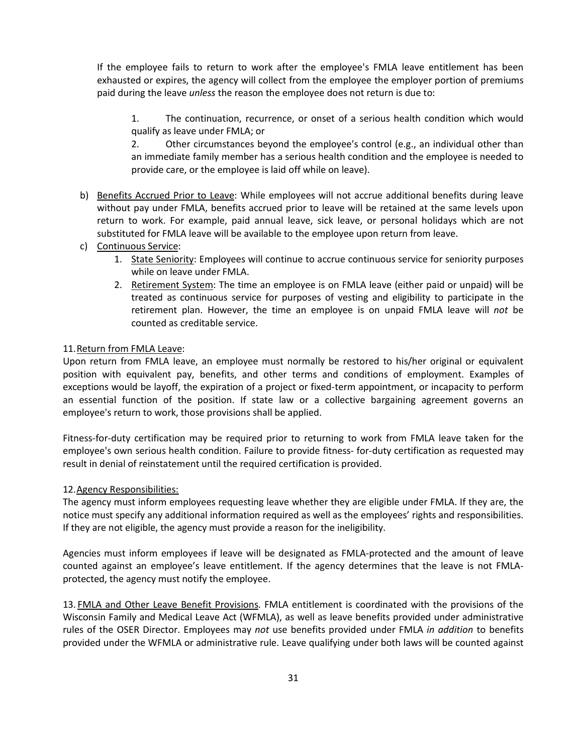If the employee fails to return to work after the employee's FMLA leave entitlement has been exhausted or expires, the agency will collect from the employee the employer portion of premiums paid during the leave *unless* the reason the employee does not return is due to:

1. The continuation, recurrence, or onset of a serious health condition which would qualify as leave under FMLA; or

2. Other circumstances beyond the employee's control (e.g., an individual other than an immediate family member has a serious health condition and the employee is needed to provide care, or the employee is laid off while on leave).

- b) Benefits Accrued Prior to Leave: While employees will not accrue additional benefits during leave without pay under FMLA, benefits accrued prior to leave will be retained at the same levels upon return to work. For example, paid annual leave, sick leave, or personal holidays which are not substituted for FMLA leave will be available to the employee upon return from leave.
- c) Continuous Service:
	- 1. State Seniority: Employees will continue to accrue continuous service for seniority purposes while on leave under FMLA.
	- 2. Retirement System: The time an employee is on FMLA leave (either paid or unpaid) will be treated as continuous service for purposes of vesting and eligibility to participate in the retirement plan. However, the time an employee is on unpaid FMLA leave will *not* be counted as creditable service.

# 11.Return from FMLA Leave:

Upon return from FMLA leave, an employee must normally be restored to his/her original or equivalent position with equivalent pay, benefits, and other terms and conditions of employment. Examples of exceptions would be layoff, the expiration of a project or fixed-term appointment, or incapacity to perform an essential function of the position. If state law or a collective bargaining agreement governs an employee's return to work, those provisions shall be applied.

Fitness-for-duty certification may be required prior to returning to work from FMLA leave taken for the employee's own serious health condition. Failure to provide fitness- for-duty certification as requested may result in denial of reinstatement until the required certification is provided.

#### 12.Agency Responsibilities:

The agency must inform employees requesting leave whether they are eligible under FMLA. If they are, the notice must specify any additional information required as well as the employees' rights and responsibilities. If they are not eligible, the agency must provide a reason for the ineligibility.

Agencies must inform employees if leave will be designated as FMLA-protected and the amount of leave counted against an employee's leave entitlement. If the agency determines that the leave is not FMLAprotected, the agency must notify the employee.

13. FMLA and Other Leave Benefit Provisions. FMLA entitlement is coordinated with the provisions of the Wisconsin Family and Medical Leave Act (WFMLA), as well as leave benefits provided under administrative rules of the OSER Director. Employees may *not* use benefits provided under FMLA *in addition* to benefits provided under the WFMLA or administrative rule. Leave qualifying under both laws will be counted against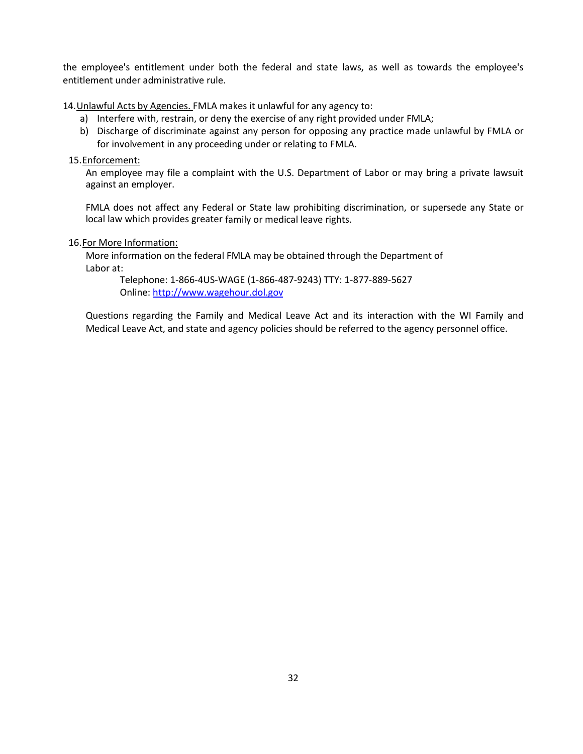the employee's entitlement under both the federal and state laws, as well as towards the employee's entitlement under administrative rule.

14.Unlawful Acts by Agencies. FMLA makes it unlawful for any agency to:

- a) Interfere with, restrain, or deny the exercise of any right provided under FMLA;
- b) Discharge of discriminate against any person for opposing any practice made unlawful by FMLA or for involvement in any proceeding under or relating to FMLA.

15.Enforcement:

An employee may file a complaint with the U.S. Department of Labor or may bring a private lawsuit against an employer.

FMLA does not affect any Federal or State law prohibiting discrimination, or supersede any State or local law which provides greater family or medical leave rights.

#### 16.For More Information:

More information on the federal FMLA may be obtained through the Department of Labor at:

Telephone: 1-866-4US-WAGE (1-866-487-9243) TTY: 1-877-889-5627 Online[: http://www.wagehour.dol.gov](http://www.wagehour.dol.gov/)

Questions regarding the Family and Medical Leave Act and its interaction with the WI Family and Medical Leave Act, and state and agency policies should be referred to the agency personnel office.